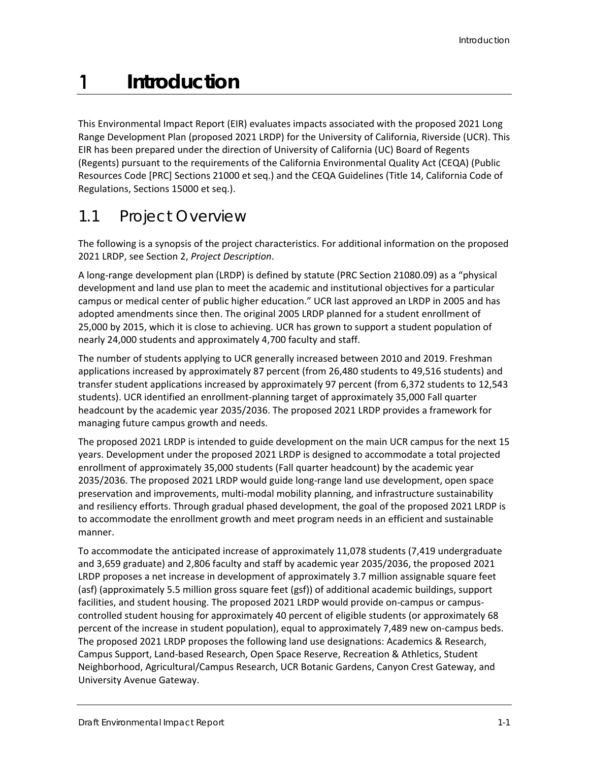1

This Environmental Impact Report (EIR) evaluates impacts associated with the proposed 2021 Long Range Development Plan (proposed 2021 LRDP) for the University of California, Riverside (UCR). This EIR has been prepared under the direction of University of California (UC) Board of Regents (Regents) pursuant to the requirements of the California Environmental Quality Act (CEQA) (Public Resources Code [PRC] Sections 21000 et seq.) and the CEQA Guidelines (Title 14, California Code of Regulations, Sections 15000 et seq.).

## 1.1 Project Overview

The following is a synopsis of the project characteristics. For additional information on the proposed 2021 LRDP, see Section 2, *Project Description*.

A long-range development plan (LRDP) is defined by statute (PRC Section 21080.09) as a "physical development and land use plan to meet the academic and institutional objectives for a particular campus or medical center of public higher education." UCR last approved an LRDP in 2005 and has adopted amendments since then. The original 2005 LRDP planned for a student enrollment of 25,000 by 2015, which it is close to achieving. UCR has grown to support a student population of nearly 24,000 students and approximately 4,700 faculty and staff.

The number of students applying to UCR generally increased between 2010 and 2019. Freshman applications increased by approximately 87 percent (from 26,480 students to 49,516 students) and transfer student applications increased by approximately 97 percent (from 6,372 students to 12,543 students). UCR identified an enrollment-planning target of approximately 35,000 Fall quarter headcount by the academic year 2035/2036. The proposed 2021 LRDP provides a framework for managing future campus growth and needs.

The proposed 2021 LRDP is intended to guide development on the main UCR campus for the next 15 years. Development under the proposed 2021 LRDP is designed to accommodate a total projected enrollment of approximately 35,000 students (Fall quarter headcount) by the academic year 2035/2036. The proposed 2021 LRDP would guide long-range land use development, open space preservation and improvements, multi-modal mobility planning, and infrastructure sustainability and resiliency efforts. Through gradual phased development, the goal of the proposed 2021 LRDP is to accommodate the enrollment growth and meet program needs in an efficient and sustainable manner.

To accommodate the anticipated increase of approximately 11,078 students (7,419 undergraduate and 3,659 graduate) and 2,806 faculty and staff by academic year 2035/2036, the proposed 2021 LRDP proposes a net increase in development of approximately 3.7 million assignable square feet (asf) (approximately 5.5 million gross square feet (gsf)) of additional academic buildings, support facilities, and student housing. The proposed 2021 LRDP would provide on-campus or campuscontrolled student housing for approximately 40 percent of eligible students (or approximately 68 percent of the increase in student population), equal to approximately 7,489 new on-campus beds. The proposed 2021 LRDP proposes the following land use designations: Academics & Research, Campus Support, Land-based Research, Open Space Reserve, Recreation & Athletics, Student Neighborhood, Agricultural/Campus Research, UCR Botanic Gardens, Canyon Crest Gateway, and University Avenue Gateway.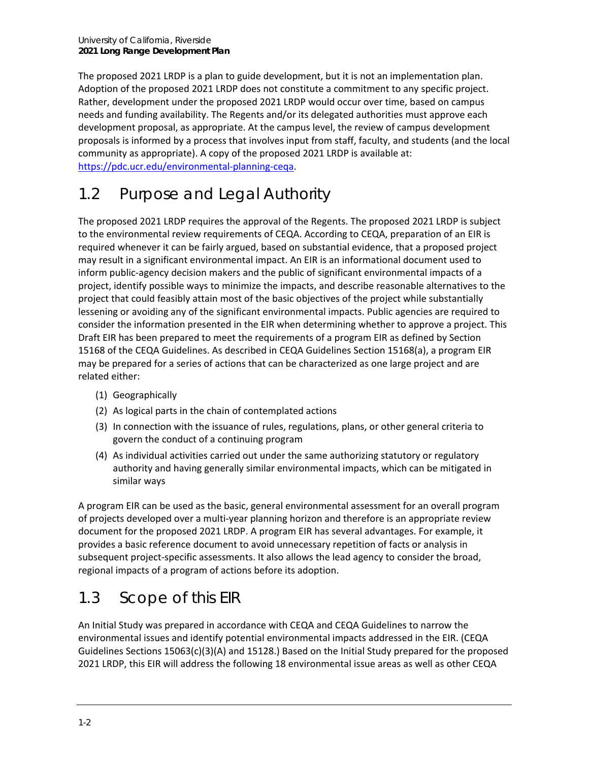The proposed 2021 LRDP is a plan to guide development, but it is not an implementation plan. Adoption of the proposed 2021 LRDP does not constitute a commitment to any specific project. Rather, development under the proposed 2021 LRDP would occur over time, based on campus needs and funding availability. The Regents and/or its delegated authorities must approve each development proposal, as appropriate. At the campus level, the review of campus development proposals is informed by a process that involves input from staff, faculty, and students (and the local community as appropriate). A copy of the proposed 2021 LRDP is available at: [https://pdc.ucr.edu/environmental-planning-ceqa.](https://pdc.ucr.edu/environmental-planning-ceqa)

# 1.2 Purpose and Legal Authority

The proposed 2021 LRDP requires the approval of the Regents. The proposed 2021 LRDP is subject to the environmental review requirements of CEQA. According to CEQA, preparation of an EIR is required whenever it can be fairly argued, based on substantial evidence, that a proposed project may result in a significant environmental impact. An EIR is an informational document used to inform public-agency decision makers and the public of significant environmental impacts of a project, identify possible ways to minimize the impacts, and describe reasonable alternatives to the project that could feasibly attain most of the basic objectives of the project while substantially lessening or avoiding any of the significant environmental impacts. Public agencies are required to consider the information presented in the EIR when determining whether to approve a project. This Draft EIR has been prepared to meet the requirements of a program EIR as defined by Section 15168 of the CEQA Guidelines. As described in CEQA Guidelines Section 15168(a), a program EIR may be prepared for a series of actions that can be characterized as one large project and are related either:

- (1) Geographically
- (2) As logical parts in the chain of contemplated actions
- (3) In connection with the issuance of rules, regulations, plans, or other general criteria to govern the conduct of a continuing program
- (4) As individual activities carried out under the same authorizing statutory or regulatory authority and having generally similar environmental impacts, which can be mitigated in similar ways

A program EIR can be used as the basic, general environmental assessment for an overall program of projects developed over a multi-year planning horizon and therefore is an appropriate review document for the proposed 2021 LRDP. A program EIR has several advantages. For example, it provides a basic reference document to avoid unnecessary repetition of facts or analysis in subsequent project-specific assessments. It also allows the lead agency to consider the broad, regional impacts of a program of actions before its adoption.

# 1.3 Scope of this EIR

An Initial Study was prepared in accordance with CEQA and CEQA Guidelines to narrow the environmental issues and identify potential environmental impacts addressed in the EIR. (CEQA Guidelines Sections 15063(c)(3)(A) and 15128.) Based on the Initial Study prepared for the proposed 2021 LRDP, this EIR will address the following 18 environmental issue areas as well as other CEQA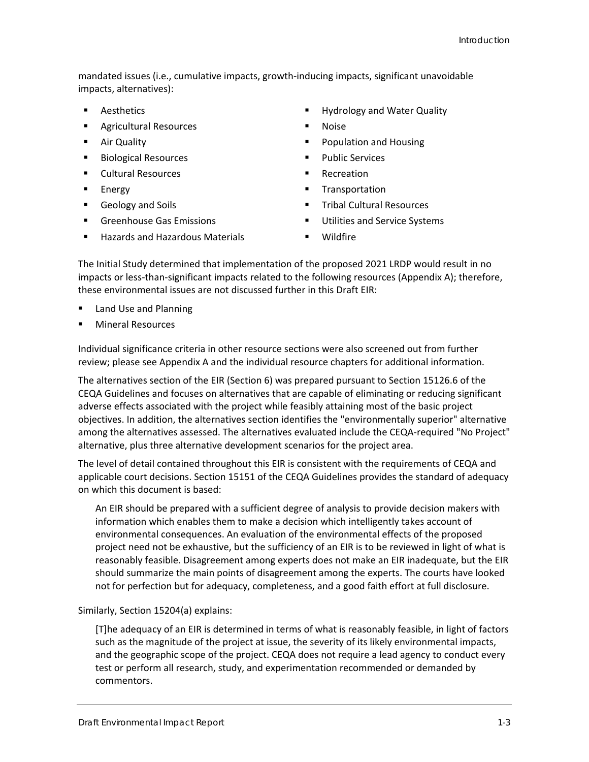mandated issues (i.e., cumulative impacts, growth-inducing impacts, significant unavoidable impacts, alternatives):

- Aesthetics
- **Agricultural Resources**
- Air Quality
- Biological Resources
- Cultural Resources
- **Energy**
- Geology and Soils
- **Greenhouse Gas Emissions**
- Hazards and Hazardous Materials
- **Hydrology and Water Quality**
- Noise
- **Population and Housing**
- Public Services
- Recreation
- **Transportation**
- Tribal Cultural Resources
- **Utilities and Service Systems**
- Wildfire

The Initial Study determined that implementation of the proposed 2021 LRDP would result in no impacts or less-than-significant impacts related to the following resources (Appendix A); therefore, these environmental issues are not discussed further in this Draft EIR:

- Land Use and Planning
- **Mineral Resources**

Individual significance criteria in other resource sections were also screened out from further review; please see Appendix A and the individual resource chapters for additional information.

The alternatives section of the EIR (Section 6) was prepared pursuant to Section 15126.6 of the CEQA Guidelines and focuses on alternatives that are capable of eliminating or reducing significant adverse effects associated with the project while feasibly attaining most of the basic project objectives. In addition, the alternatives section identifies the "environmentally superior" alternative among the alternatives assessed. The alternatives evaluated include the CEQA-required "No Project" alternative, plus three alternative development scenarios for the project area.

The level of detail contained throughout this EIR is consistent with the requirements of CEQA and applicable court decisions. Section 15151 of the CEQA Guidelines provides the standard of adequacy on which this document is based:

An EIR should be prepared with a sufficient degree of analysis to provide decision makers with information which enables them to make a decision which intelligently takes account of environmental consequences. An evaluation of the environmental effects of the proposed project need not be exhaustive, but the sufficiency of an EIR is to be reviewed in light of what is reasonably feasible. Disagreement among experts does not make an EIR inadequate, but the EIR should summarize the main points of disagreement among the experts. The courts have looked not for perfection but for adequacy, completeness, and a good faith effort at full disclosure.

### Similarly, Section 15204(a) explains:

[T]he adequacy of an EIR is determined in terms of what is reasonably feasible, in light of factors such as the magnitude of the project at issue, the severity of its likely environmental impacts, and the geographic scope of the project. CEQA does not require a lead agency to conduct every test or perform all research, study, and experimentation recommended or demanded by commentors.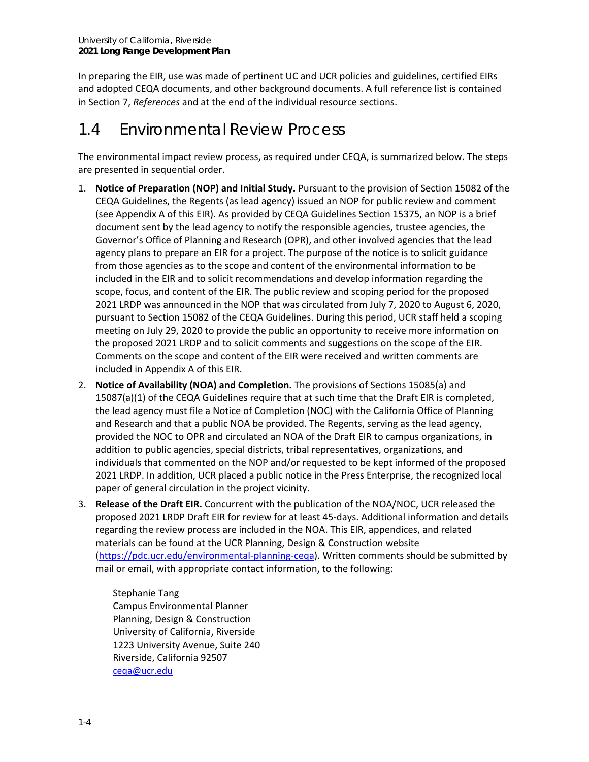In preparing the EIR, use was made of pertinent UC and UCR policies and guidelines, certified EIRs and adopted CEQA documents, and other background documents. A full reference list is contained in Section 7, *References* and at the end of the individual resource sections.

### 1.4 Environmental Review Process

The environmental impact review process, as required under CEQA, is summarized below. The steps are presented in sequential order.

- 1. **Notice of Preparation (NOP) and Initial Study.** Pursuant to the provision of Section 15082 of the CEQA Guidelines, the Regents (as lead agency) issued an NOP for public review and comment (see Appendix A of this EIR). As provided by CEQA Guidelines Section 15375, an NOP is a brief document sent by the lead agency to notify the responsible agencies, trustee agencies, the Governor's Office of Planning and Research (OPR), and other involved agencies that the lead agency plans to prepare an EIR for a project. The purpose of the notice is to solicit guidance from those agencies as to the scope and content of the environmental information to be included in the EIR and to solicit recommendations and develop information regarding the scope, focus, and content of the EIR. The public review and scoping period for the proposed 2021 LRDP was announced in the NOP that was circulated from July 7, 2020 to August 6, 2020, pursuant to Section 15082 of the CEQA Guidelines. During this period, UCR staff held a scoping meeting on July 29, 2020 to provide the public an opportunity to receive more information on the proposed 2021 LRDP and to solicit comments and suggestions on the scope of the EIR. Comments on the scope and content of the EIR were received and written comments are included in Appendix A of this EIR.
- 2. **Notice of Availability (NOA) and Completion.** The provisions of Sections 15085(a) and 15087(a)(1) of the CEQA Guidelines require that at such time that the Draft EIR is completed, the lead agency must file a Notice of Completion (NOC) with the California Office of Planning and Research and that a public NOA be provided. The Regents, serving as the lead agency, provided the NOC to OPR and circulated an NOA of the Draft EIR to campus organizations, in addition to public agencies, special districts, tribal representatives, organizations, and individuals that commented on the NOP and/or requested to be kept informed of the proposed 2021 LRDP. In addition, UCR placed a public notice in the Press Enterprise, the recognized local paper of general circulation in the project vicinity.
- 3. **Release of the Draft EIR.** Concurrent with the publication of the NOA/NOC, UCR released the proposed 2021 LRDP Draft EIR for review for at least 45-days. Additional information and details regarding the review process are included in the NOA. This EIR, appendices, and related materials can be found at the UCR Planning, Design & Construction website [\(https://pdc.ucr.edu/environmental-planning-ceqa\)](https://pdc.ucr.edu/environmental-planning-ceqa). Written comments should be submitted by mail or email, with appropriate contact information, to the following:

Stephanie Tang Campus Environmental Planner Planning, Design & Construction University of California, Riverside 1223 University Avenue, Suite 240 Riverside, California 92507 [ceqa@ucr.edu](mailto:ceqa@ucr.edu)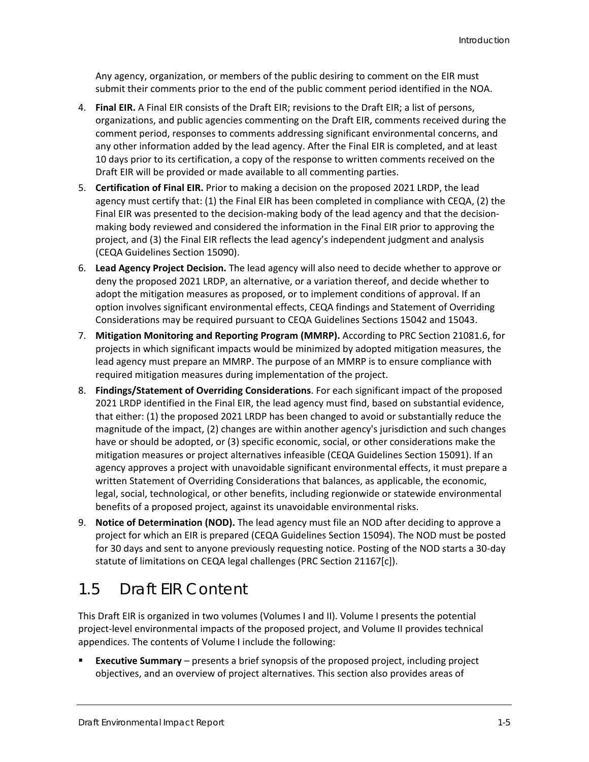Any agency, organization, or members of the public desiring to comment on the EIR must submit their comments prior to the end of the public comment period identified in the NOA.

- 4. **Final EIR.** A Final EIR consists of the Draft EIR; revisions to the Draft EIR; a list of persons, organizations, and public agencies commenting on the Draft EIR, comments received during the comment period, responses to comments addressing significant environmental concerns, and any other information added by the lead agency. After the Final EIR is completed, and at least 10 days prior to its certification, a copy of the response to written comments received on the Draft EIR will be provided or made available to all commenting parties.
- 5. **Certification of Final EIR.** Prior to making a decision on the proposed 2021 LRDP, the lead agency must certify that: (1) the Final EIR has been completed in compliance with CEQA, (2) the Final EIR was presented to the decision-making body of the lead agency and that the decisionmaking body reviewed and considered the information in the Final EIR prior to approving the project, and (3) the Final EIR reflects the lead agency's independent judgment and analysis (CEQA Guidelines Section 15090).
- 6. **Lead Agency Project Decision.** The lead agency will also need to decide whether to approve or deny the proposed 2021 LRDP, an alternative, or a variation thereof, and decide whether to adopt the mitigation measures as proposed, or to implement conditions of approval. If an option involves significant environmental effects, CEQA findings and Statement of Overriding Considerations may be required pursuant to CEQA Guidelines Sections 15042 and 15043.
- 7. **Mitigation Monitoring and Reporting Program (MMRP).** According to PRC Section 21081.6, for projects in which significant impacts would be minimized by adopted mitigation measures, the lead agency must prepare an MMRP. The purpose of an MMRP is to ensure compliance with required mitigation measures during implementation of the project.
- 8. **Findings/Statement of Overriding Considerations**. For each significant impact of the proposed 2021 LRDP identified in the Final EIR, the lead agency must find, based on substantial evidence, that either: (1) the proposed 2021 LRDP has been changed to avoid or substantially reduce the magnitude of the impact, (2) changes are within another agency's jurisdiction and such changes have or should be adopted, or (3) specific economic, social, or other considerations make the mitigation measures or project alternatives infeasible (CEQA Guidelines Section 15091). If an agency approves a project with unavoidable significant environmental effects, it must prepare a written Statement of Overriding Considerations that balances, as applicable, the economic, legal, social, technological, or other benefits, including regionwide or statewide environmental benefits of a proposed project, against its unavoidable environmental risks.
- 9. **Notice of Determination (NOD).** The lead agency must file an NOD after deciding to approve a project for which an EIR is prepared (CEQA Guidelines Section 15094). The NOD must be posted for 30 days and sent to anyone previously requesting notice. Posting of the NOD starts a 30-day statute of limitations on CEQA legal challenges (PRC Section 21167[c]).

### 1.5 Draft EIR Content

This Draft EIR is organized in two volumes (Volumes I and II). Volume I presents the potential project-level environmental impacts of the proposed project, and Volume II provides technical appendices. The contents of Volume I include the following:

 **Executive Summary** – presents a brief synopsis of the proposed project, including project objectives, and an overview of project alternatives. This section also provides areas of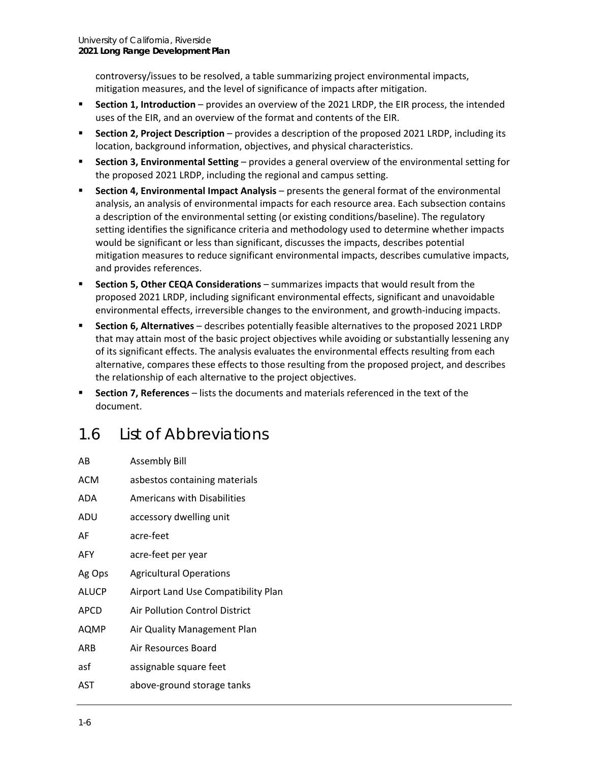controversy/issues to be resolved, a table summarizing project environmental impacts, mitigation measures, and the level of significance of impacts after mitigation.

- **Section 1, Introduction** provides an overview of the 2021 LRDP, the EIR process, the intended uses of the EIR, and an overview of the format and contents of the EIR.
- **Section 2, Project Description** provides a description of the proposed 2021 LRDP, including its location, background information, objectives, and physical characteristics.
- **Section 3, Environmental Setting** provides a general overview of the environmental setting for the proposed 2021 LRDP, including the regional and campus setting.
- **Section 4, Environmental Impact Analysis** presents the general format of the environmental analysis, an analysis of environmental impacts for each resource area. Each subsection contains a description of the environmental setting (or existing conditions/baseline). The regulatory setting identifies the significance criteria and methodology used to determine whether impacts would be significant or less than significant, discusses the impacts, describes potential mitigation measures to reduce significant environmental impacts, describes cumulative impacts, and provides references.
- **Section 5, Other CEQA Considerations** summarizes impacts that would result from the proposed 2021 LRDP, including significant environmental effects, significant and unavoidable environmental effects, irreversible changes to the environment, and growth-inducing impacts.
- **Section 6, Alternatives** describes potentially feasible alternatives to the proposed 2021 LRDP that may attain most of the basic project objectives while avoiding or substantially lessening any of its significant effects. The analysis evaluates the environmental effects resulting from each alternative, compares these effects to those resulting from the proposed project, and describes the relationship of each alternative to the project objectives.
- **Section 7, References** lists the documents and materials referenced in the text of the document.

## 1.6 List of Abbreviations

| AB           | <b>Assembly Bill</b>                |
|--------------|-------------------------------------|
| <b>ACM</b>   | asbestos containing materials       |
| ADA          | <b>Americans with Disabilities</b>  |
| ADU          | accessory dwelling unit             |
| AF           | acre-feet                           |
| AFY          | acre-feet per year                  |
| Ag Ops       | <b>Agricultural Operations</b>      |
| <b>ALUCP</b> | Airport Land Use Compatibility Plan |
| APCD         | Air Pollution Control District      |
| AQMP         | Air Quality Management Plan         |
| ARB          | Air Resources Board                 |
| asf          | assignable square feet              |
| AST          | above-ground storage tanks          |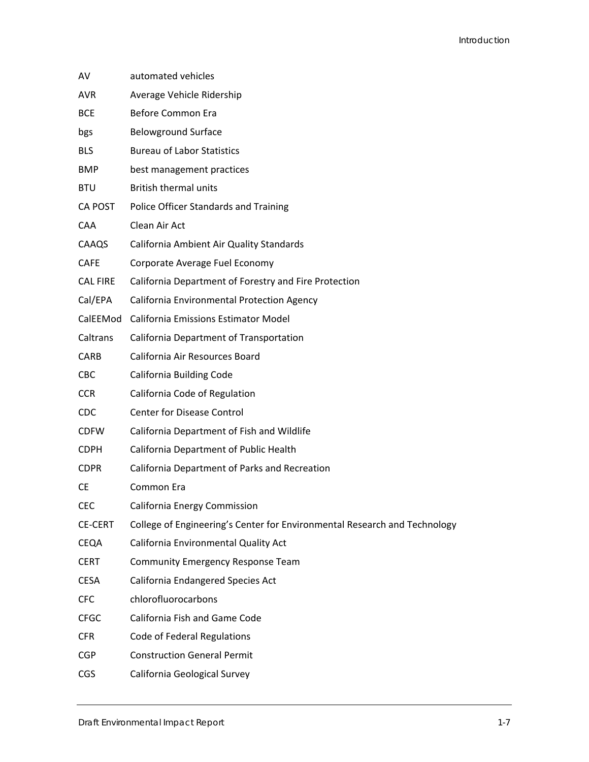| AV              | automated vehicles                                                        |
|-----------------|---------------------------------------------------------------------------|
| <b>AVR</b>      | Average Vehicle Ridership                                                 |
| <b>BCE</b>      | <b>Before Common Era</b>                                                  |
| bgs             | <b>Belowground Surface</b>                                                |
| <b>BLS</b>      | <b>Bureau of Labor Statistics</b>                                         |
| <b>BMP</b>      | best management practices                                                 |
| <b>BTU</b>      | <b>British thermal units</b>                                              |
| CA POST         | Police Officer Standards and Training                                     |
| <b>CAA</b>      | Clean Air Act                                                             |
| CAAQS           | California Ambient Air Quality Standards                                  |
| <b>CAFE</b>     | Corporate Average Fuel Economy                                            |
| <b>CAL FIRE</b> | California Department of Forestry and Fire Protection                     |
| Cal/EPA         | California Environmental Protection Agency                                |
| CalEEMod        | <b>California Emissions Estimator Model</b>                               |
| Caltrans        | California Department of Transportation                                   |
| <b>CARB</b>     | California Air Resources Board                                            |
| <b>CBC</b>      | California Building Code                                                  |
| <b>CCR</b>      | California Code of Regulation                                             |
| <b>CDC</b>      | <b>Center for Disease Control</b>                                         |
| <b>CDFW</b>     | California Department of Fish and Wildlife                                |
| <b>CDPH</b>     | California Department of Public Health                                    |
| <b>CDPR</b>     | California Department of Parks and Recreation                             |
| <b>CE</b>       | Common Era                                                                |
| <b>CEC</b>      | California Energy Commission                                              |
| <b>CE-CERT</b>  | College of Engineering's Center for Environmental Research and Technology |
| CEQA            | California Environmental Quality Act                                      |
| <b>CERT</b>     | Community Emergency Response Team                                         |
| <b>CESA</b>     | California Endangered Species Act                                         |
| <b>CFC</b>      | chlorofluorocarbons                                                       |
| <b>CFGC</b>     | California Fish and Game Code                                             |
| <b>CFR</b>      | Code of Federal Regulations                                               |
| <b>CGP</b>      | <b>Construction General Permit</b>                                        |
| <b>CGS</b>      | California Geological Survey                                              |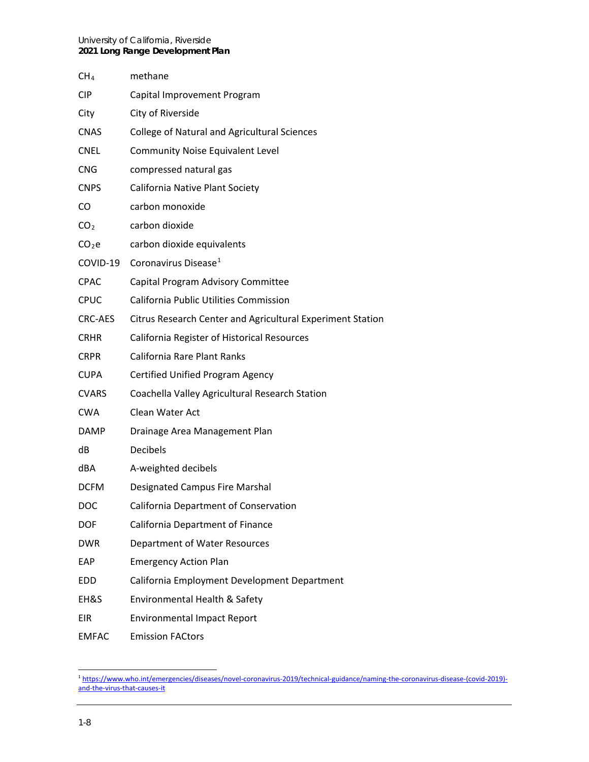#### University of California, Riverside **2021 Long Range Development Plan**

| CH <sub>4</sub>   | methane                                                    |
|-------------------|------------------------------------------------------------|
| <b>CIP</b>        | Capital Improvement Program                                |
| City              | City of Riverside                                          |
| <b>CNAS</b>       | <b>College of Natural and Agricultural Sciences</b>        |
| <b>CNEL</b>       | <b>Community Noise Equivalent Level</b>                    |
| <b>CNG</b>        | compressed natural gas                                     |
| <b>CNPS</b>       | California Native Plant Society                            |
| CO                | carbon monoxide                                            |
| CO <sub>2</sub>   | carbon dioxide                                             |
| CO <sub>2</sub> e | carbon dioxide equivalents                                 |
| COVID-19          | Coronavirus Disease <sup>1</sup>                           |
| <b>CPAC</b>       | Capital Program Advisory Committee                         |
| <b>CPUC</b>       | <b>California Public Utilities Commission</b>              |
| <b>CRC-AES</b>    | Citrus Research Center and Agricultural Experiment Station |
| <b>CRHR</b>       | California Register of Historical Resources                |
| <b>CRPR</b>       | California Rare Plant Ranks                                |
| <b>CUPA</b>       | Certified Unified Program Agency                           |
| <b>CVARS</b>      | Coachella Valley Agricultural Research Station             |
| <b>CWA</b>        | Clean Water Act                                            |
| <b>DAMP</b>       | Drainage Area Management Plan                              |
| dB                | <b>Decibels</b>                                            |
| dBA               | A-weighted decibels                                        |
| <b>DCFM</b>       | <b>Designated Campus Fire Marshal</b>                      |
| DOC               | California Department of Conservation                      |
| <b>DOF</b>        | California Department of Finance                           |
| <b>DWR</b>        | Department of Water Resources                              |
| EAP               | <b>Emergency Action Plan</b>                               |
| <b>EDD</b>        | California Employment Development Department               |
| EH&S              | Environmental Health & Safety                              |
| <b>EIR</b>        | <b>Environmental Impact Report</b>                         |
| <b>EMFAC</b>      | <b>Emission FACtors</b>                                    |

<span id="page-7-0"></span><sup>1</sup> [https://www.who.int/emergencies/diseases/novel-coronavirus-2019/technical-guidance/naming-the-coronavirus-disease-\(covid-2019\)](https://www.who.int/emergencies/diseases/novel-coronavirus-2019/technical-guidance/naming-the-coronavirus-disease-(covid-2019)-and-the-virus-that-causes-it) [and-the-virus-that-causes-it](https://www.who.int/emergencies/diseases/novel-coronavirus-2019/technical-guidance/naming-the-coronavirus-disease-(covid-2019)-and-the-virus-that-causes-it)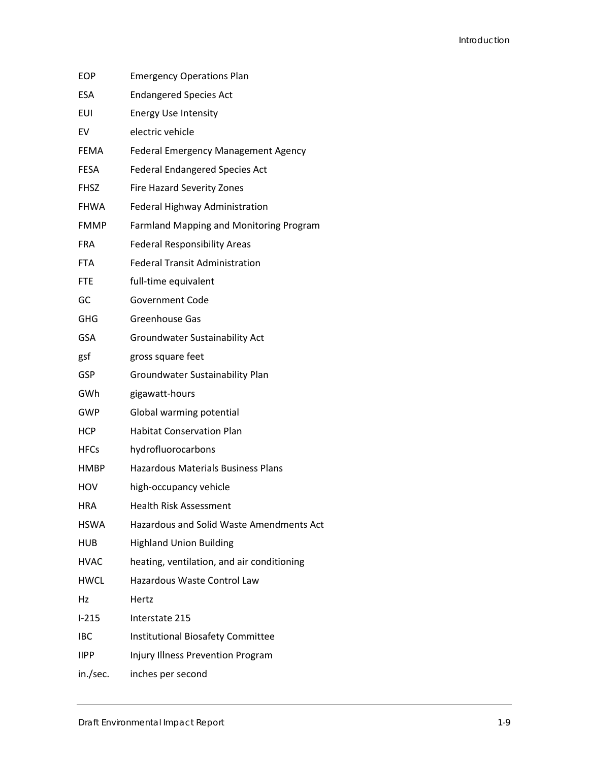| <b>EOP</b>  | <b>Emergency Operations Plan</b>               |
|-------------|------------------------------------------------|
| <b>ESA</b>  | <b>Endangered Species Act</b>                  |
| <b>EUI</b>  | <b>Energy Use Intensity</b>                    |
| EV          | electric vehicle                               |
| <b>FEMA</b> | Federal Emergency Management Agency            |
| <b>FESA</b> | <b>Federal Endangered Species Act</b>          |
| <b>FHSZ</b> | <b>Fire Hazard Severity Zones</b>              |
| <b>FHWA</b> | Federal Highway Administration                 |
| <b>FMMP</b> | <b>Farmland Mapping and Monitoring Program</b> |
| FRA         | <b>Federal Responsibility Areas</b>            |
| <b>FTA</b>  | <b>Federal Transit Administration</b>          |
| <b>FTE</b>  | full-time equivalent                           |
| GC          | <b>Government Code</b>                         |
| <b>GHG</b>  | <b>Greenhouse Gas</b>                          |
| <b>GSA</b>  | Groundwater Sustainability Act                 |
| gsf         | gross square feet                              |
| <b>GSP</b>  | Groundwater Sustainability Plan                |
| GWh         | gigawatt-hours                                 |
| GWP         | Global warming potential                       |
| <b>HCP</b>  | <b>Habitat Conservation Plan</b>               |
| <b>HFCs</b> | hydrofluorocarbons                             |
| <b>HMBP</b> | <b>Hazardous Materials Business Plans</b>      |
| HOV         | high-occupancy vehicle                         |
| <b>HRA</b>  | <b>Health Risk Assessment</b>                  |
| <b>HSWA</b> | Hazardous and Solid Waste Amendments Act       |
| HUB         | <b>Highland Union Building</b>                 |
| <b>HVAC</b> | heating, ventilation, and air conditioning     |
| HWCL        | Hazardous Waste Control Law                    |
| Hz          | Hertz                                          |
| $1 - 215$   | Interstate 215                                 |
| <b>IBC</b>  | <b>Institutional Biosafety Committee</b>       |
| <b>IIPP</b> | Injury Illness Prevention Program              |
| in./sec.    | inches per second                              |
|             |                                                |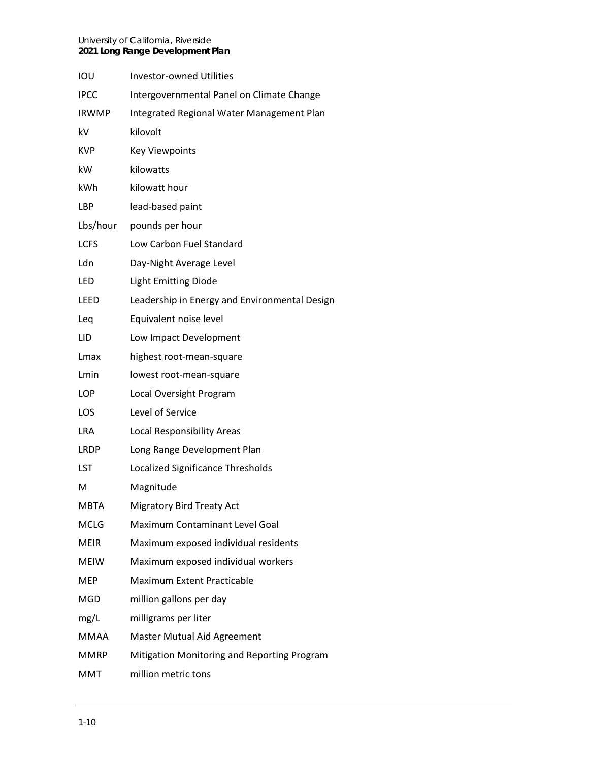#### University of California, Riverside **2021 Long Range Development Plan**

| iou          | <b>Investor-owned Utilities</b>               |
|--------------|-----------------------------------------------|
| IPCC         | Intergovernmental Panel on Climate Change     |
| <b>IRWMP</b> | Integrated Regional Water Management Plan     |
| kV           | kilovolt                                      |
| KVP          | <b>Key Viewpoints</b>                         |
| kW           | kilowatts                                     |
| kWh          | kilowatt hour                                 |
| LBP          | lead-based paint                              |
| Lbs/hour     | pounds per hour                               |
| LCFS         | Low Carbon Fuel Standard                      |
| Ldn          | Day-Night Average Level                       |
| LED          | <b>Light Emitting Diode</b>                   |
| leed         | Leadership in Energy and Environmental Design |
| Leq          | Equivalent noise level                        |
| LID          | Low Impact Development                        |
| Lmax         | highest root-mean-square                      |
| Lmin         | lowest root-mean-square                       |
| LOP          | Local Oversight Program                       |
| LOS          | Level of Service                              |
| LRA          | Local Responsibility Areas                    |
| LRDP         | Long Range Development Plan                   |
| LST          | Localized Significance Thresholds             |
| M            | Magnitude                                     |
| MBTA         | <b>Migratory Bird Treaty Act</b>              |
| MCLG         | Maximum Contaminant Level Goal                |
| MEIR         | Maximum exposed individual residents          |
| MEIW         | Maximum exposed individual workers            |
| MEP          | <b>Maximum Extent Practicable</b>             |
| MGD          | million gallons per day                       |
| mg/L         | milligrams per liter                          |
| MMAA         | Master Mutual Aid Agreement                   |
| MMRP         | Mitigation Monitoring and Reporting Program   |
| MMT          | million metric tons                           |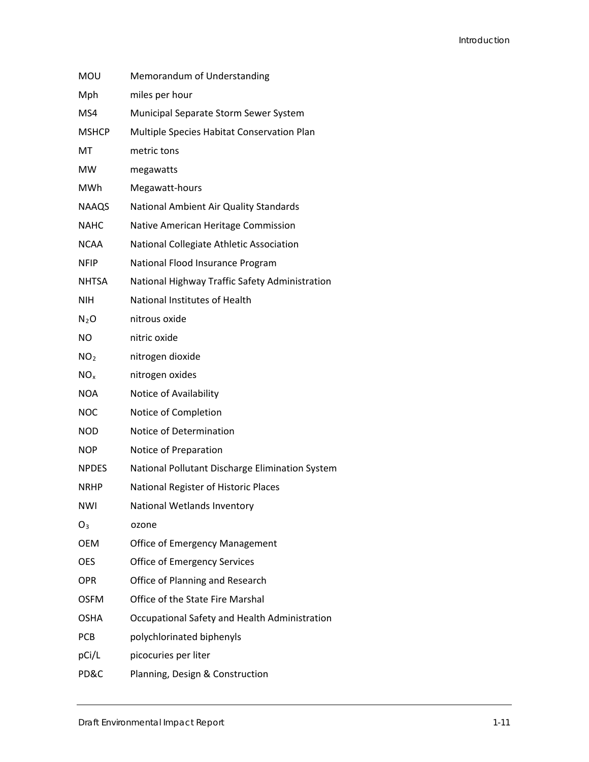| MOU             | Memorandum of Understanding                     |
|-----------------|-------------------------------------------------|
| Mph             | miles per hour                                  |
| MS4             | Municipal Separate Storm Sewer System           |
| <b>MSHCP</b>    | Multiple Species Habitat Conservation Plan      |
| МT              | metric tons                                     |
| MW              | megawatts                                       |
| MWh             | Megawatt-hours                                  |
| <b>NAAQS</b>    | National Ambient Air Quality Standards          |
| <b>NAHC</b>     | Native American Heritage Commission             |
| <b>NCAA</b>     | National Collegiate Athletic Association        |
| NFIP            | National Flood Insurance Program                |
| <b>NHTSA</b>    | National Highway Traffic Safety Administration  |
| <b>NIH</b>      | National Institutes of Health                   |
| $N_2O$          | nitrous oxide                                   |
| <b>NO</b>       | nitric oxide                                    |
| NO <sub>2</sub> | nitrogen dioxide                                |
| NO <sub>x</sub> | nitrogen oxides                                 |
| <b>NOA</b>      | Notice of Availability                          |
| <b>NOC</b>      | Notice of Completion                            |
| <b>NOD</b>      | Notice of Determination                         |
| NOP             | Notice of Preparation                           |
| <b>NPDES</b>    | National Pollutant Discharge Elimination System |
| <b>NRHP</b>     | National Register of Historic Places            |
| <b>NWI</b>      | National Wetlands Inventory                     |
| $O_3$           | ozone                                           |
| <b>OEM</b>      | <b>Office of Emergency Management</b>           |
| <b>OES</b>      | Office of Emergency Services                    |
| OPR             | Office of Planning and Research                 |
| <b>OSFM</b>     | Office of the State Fire Marshal                |
| OSHA            | Occupational Safety and Health Administration   |
| <b>PCB</b>      | polychlorinated biphenyls                       |
| pCi/L           | picocuries per liter                            |
| PD&C            | Planning, Design & Construction                 |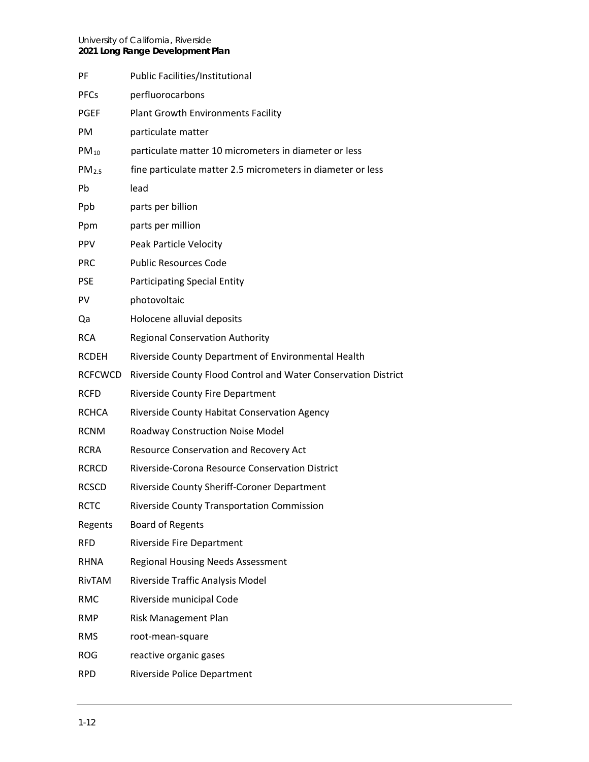| PF                | <b>Public Facilities/Institutional</b>                         |
|-------------------|----------------------------------------------------------------|
| <b>PFCs</b>       | perfluorocarbons                                               |
| <b>PGEF</b>       | Plant Growth Environments Facility                             |
| PM                | particulate matter                                             |
| $PM_{10}$         | particulate matter 10 micrometers in diameter or less          |
| PM <sub>2.5</sub> | fine particulate matter 2.5 micrometers in diameter or less    |
| <b>Pb</b>         | lead                                                           |
| Ppb               | parts per billion                                              |
| Ppm               | parts per million                                              |
| <b>PPV</b>        | Peak Particle Velocity                                         |
| <b>PRC</b>        | <b>Public Resources Code</b>                                   |
| <b>PSE</b>        | <b>Participating Special Entity</b>                            |
| PV                | photovoltaic                                                   |
| Qa                | Holocene alluvial deposits                                     |
| <b>RCA</b>        | <b>Regional Conservation Authority</b>                         |
| <b>RCDEH</b>      | Riverside County Department of Environmental Health            |
| <b>RCFCWCD</b>    | Riverside County Flood Control and Water Conservation District |
| <b>RCFD</b>       | Riverside County Fire Department                               |
| <b>RCHCA</b>      | Riverside County Habitat Conservation Agency                   |
| <b>RCNM</b>       | Roadway Construction Noise Model                               |
| <b>RCRA</b>       | Resource Conservation and Recovery Act                         |
| <b>RCRCD</b>      | Riverside-Corona Resource Conservation District                |
| <b>RCSCD</b>      | Riverside County Sheriff-Coroner Department                    |
| <b>RCTC</b>       | Riverside County Transportation Commission                     |
| Regents           | <b>Board of Regents</b>                                        |
| <b>RFD</b>        | Riverside Fire Department                                      |
| <b>RHNA</b>       | <b>Regional Housing Needs Assessment</b>                       |
| RivTAM            | Riverside Traffic Analysis Model                               |
| <b>RMC</b>        | Riverside municipal Code                                       |
| RMP               | Risk Management Plan                                           |
| <b>RMS</b>        | root-mean-square                                               |
| <b>ROG</b>        | reactive organic gases                                         |
| <b>RPD</b>        | Riverside Police Department                                    |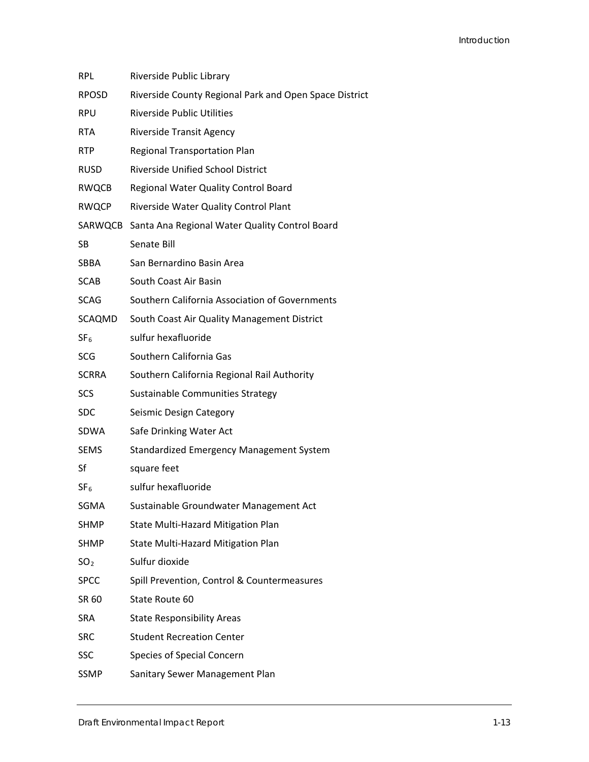| <b>RPL</b>      | Riverside Public Library                               |
|-----------------|--------------------------------------------------------|
| <b>RPOSD</b>    | Riverside County Regional Park and Open Space District |
| <b>RPU</b>      | <b>Riverside Public Utilities</b>                      |
| <b>RTA</b>      | <b>Riverside Transit Agency</b>                        |
| <b>RTP</b>      | Regional Transportation Plan                           |
| <b>RUSD</b>     | <b>Riverside Unified School District</b>               |
| <b>RWQCB</b>    | Regional Water Quality Control Board                   |
| <b>RWQCP</b>    | Riverside Water Quality Control Plant                  |
|                 | SARWQCB Santa Ana Regional Water Quality Control Board |
| SB              | Senate Bill                                            |
| SBBA            | San Bernardino Basin Area                              |
| <b>SCAB</b>     | South Coast Air Basin                                  |
| <b>SCAG</b>     | Southern California Association of Governments         |
| SCAQMD          | South Coast Air Quality Management District            |
| SF <sub>6</sub> | sulfur hexafluoride                                    |
| <b>SCG</b>      | Southern California Gas                                |
| SCRRA           | Southern California Regional Rail Authority            |
| SCS             | Sustainable Communities Strategy                       |
| <b>SDC</b>      | Seismic Design Category                                |
| SDWA            | Safe Drinking Water Act                                |
| <b>SEMS</b>     | <b>Standardized Emergency Management System</b>        |
| Sf              | square feet                                            |
| SF <sub>6</sub> | sulfur hexafluoride                                    |
| SGMA            | Sustainable Groundwater Management Act                 |
| SHMP            | <b>State Multi-Hazard Mitigation Plan</b>              |
| SHMP            | State Multi-Hazard Mitigation Plan                     |
| SO <sub>2</sub> | Sulfur dioxide                                         |
| <b>SPCC</b>     | Spill Prevention, Control & Countermeasures            |
| SR 60           | State Route 60                                         |
| SRA             | <b>State Responsibility Areas</b>                      |
| <b>SRC</b>      | <b>Student Recreation Center</b>                       |
| <b>SSC</b>      | Species of Special Concern                             |
| <b>SSMP</b>     | Sanitary Sewer Management Plan                         |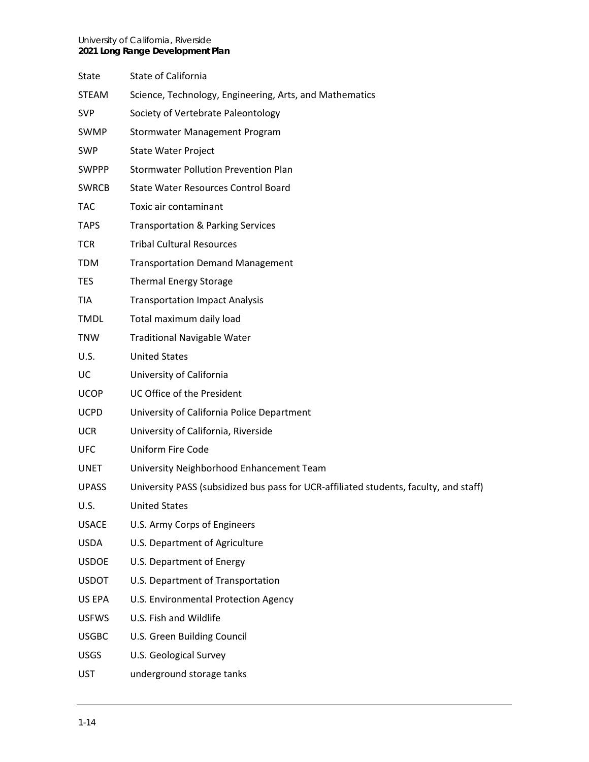| <b>State</b> | State of California                                                                   |
|--------------|---------------------------------------------------------------------------------------|
| <b>STEAM</b> | Science, Technology, Engineering, Arts, and Mathematics                               |
| <b>SVP</b>   | Society of Vertebrate Paleontology                                                    |
| SWMP         | <b>Stormwater Management Program</b>                                                  |
| <b>SWP</b>   | <b>State Water Project</b>                                                            |
| <b>SWPPP</b> | <b>Stormwater Pollution Prevention Plan</b>                                           |
| <b>SWRCB</b> | <b>State Water Resources Control Board</b>                                            |
| <b>TAC</b>   | Toxic air contaminant                                                                 |
| <b>TAPS</b>  | <b>Transportation &amp; Parking Services</b>                                          |
| <b>TCR</b>   | <b>Tribal Cultural Resources</b>                                                      |
| <b>TDM</b>   | <b>Transportation Demand Management</b>                                               |
| <b>TES</b>   | <b>Thermal Energy Storage</b>                                                         |
| <b>TIA</b>   | <b>Transportation Impact Analysis</b>                                                 |
| <b>TMDL</b>  | Total maximum daily load                                                              |
| <b>TNW</b>   | <b>Traditional Navigable Water</b>                                                    |
| U.S.         | <b>United States</b>                                                                  |
| UC           | University of California                                                              |
| <b>UCOP</b>  | UC Office of the President                                                            |
| <b>UCPD</b>  | University of California Police Department                                            |
| <b>UCR</b>   | University of California, Riverside                                                   |
| <b>UFC</b>   | Uniform Fire Code                                                                     |
| UNET         | University Neighborhood Enhancement Team                                              |
| <b>UPASS</b> | University PASS (subsidized bus pass for UCR-affiliated students, faculty, and staff) |
| U.S.         | United States                                                                         |
| <b>USACE</b> | U.S. Army Corps of Engineers                                                          |
| USDA         | U.S. Department of Agriculture                                                        |
| <b>USDOE</b> | U.S. Department of Energy                                                             |
| <b>USDOT</b> | U.S. Department of Transportation                                                     |
| US EPA       | U.S. Environmental Protection Agency                                                  |
| <b>USFWS</b> | U.S. Fish and Wildlife                                                                |
| <b>USGBC</b> | U.S. Green Building Council                                                           |
| <b>USGS</b>  | U.S. Geological Survey                                                                |
| <b>UST</b>   | underground storage tanks                                                             |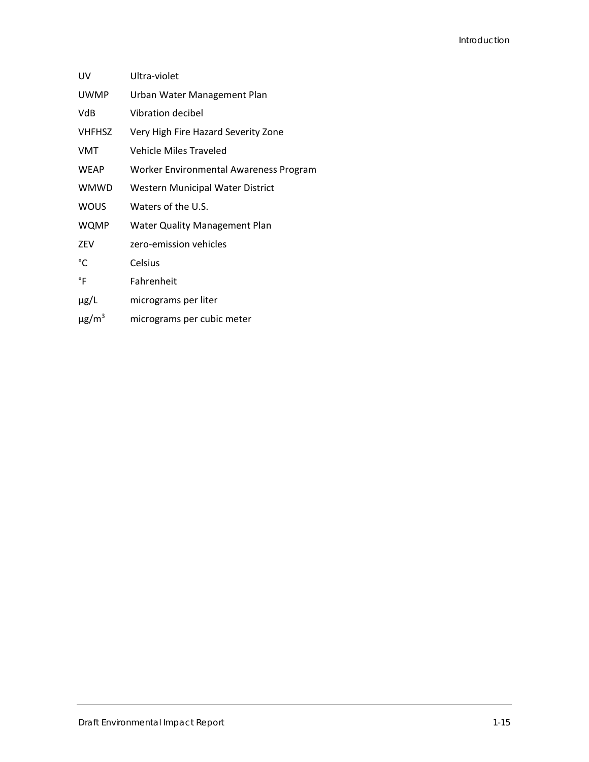| UV                     | Ultra-violet                           |
|------------------------|----------------------------------------|
| <b>UWMP</b>            | Urban Water Management Plan            |
| VdB                    | Vibration decibel                      |
| <b>VHFHSZ</b>          | Very High Fire Hazard Severity Zone    |
| <b>VMT</b>             | <b>Vehicle Miles Traveled</b>          |
| <b>WEAP</b>            | Worker Environmental Awareness Program |
| WMWD                   | Western Municipal Water District       |
| <b>WOUS</b>            | Waters of the U.S.                     |
| WQMP                   | <b>Water Quality Management Plan</b>   |
| ZEV                    | zero-emission vehicles                 |
| °C                     | Celsius                                |
| °F                     | Fahrenheit                             |
| µg/L                   | micrograms per liter                   |
| $\mu$ g/m <sup>3</sup> | micrograms per cubic meter             |